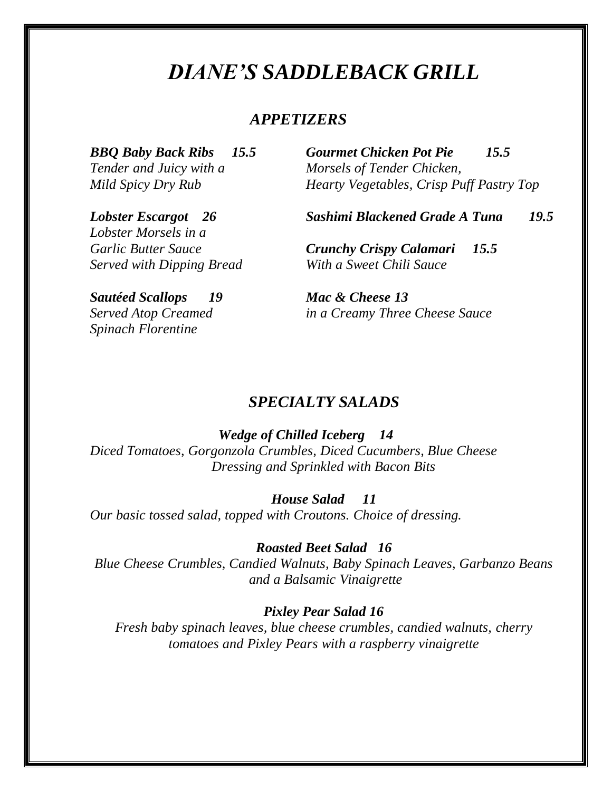# *DIANE'S SADDLEBACK GRILL*

# *APPETIZERS*

*Tender and Juicy with a Morsels of Tender Chicken,*

*BBQ Baby Back Ribs 15.5 Gourmet Chicken Pot Pie 15.5 Mild Spicy Dry Rub Hearty Vegetables, Crisp Puff Pastry Top*

*Lobster Escargot 26 Sashimi Blackened Grade A Tuna 19.5*

*Garlic Butter Sauce Crunchy Crispy Calamari 15.5 Served with Dipping Bread With a Sweet Chili Sauce*

*Sautéed Scallops 19 Mac & Cheese 13 Spinach Florentine*

*Lobster Morsels in a*

*Served Atop Creamed in a Creamy Three Cheese Sauce*

### *SPECIALTY SALADS*

*Wedge of Chilled Iceberg 14 Diced Tomatoes, Gorgonzola Crumbles, Diced Cucumbers, Blue Cheese*

*Dressing and Sprinkled with Bacon Bits*

#### *House Salad 11*

*Our basic tossed salad, topped with Croutons. Choice of dressing.*

*Roasted Beet Salad 16*

*Blue Cheese Crumbles, Candied Walnuts, Baby Spinach Leaves, Garbanzo Beans and a Balsamic Vinaigrette*

*Pixley Pear Salad 16*

*Fresh baby spinach leaves, blue cheese crumbles, candied walnuts, cherry tomatoes and Pixley Pears with a raspberry vinaigrette*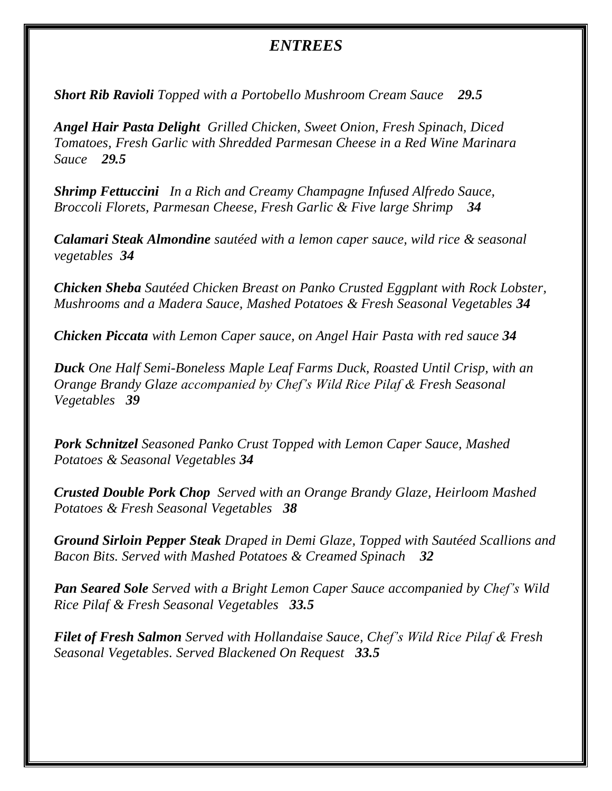# *ENTREES*

*Short Rib Ravioli Topped with a Portobello Mushroom Cream Sauce 29.5* 

*Angel Hair Pasta Delight Grilled Chicken, Sweet Onion, Fresh Spinach, Diced Tomatoes, Fresh Garlic with Shredded Parmesan Cheese in a Red Wine Marinara Sauce 29.5*

*Shrimp Fettuccini In a Rich and Creamy Champagne Infused Alfredo Sauce, Broccoli Florets, Parmesan Cheese, Fresh Garlic & Five large Shrimp 34*

*Calamari Steak Almondine sautéed with a lemon caper sauce, wild rice & seasonal vegetables 34*

*Chicken Sheba Sautéed Chicken Breast on Panko Crusted Eggplant with Rock Lobster, Mushrooms and a Madera Sauce, Mashed Potatoes & Fresh Seasonal Vegetables 34*

*Chicken Piccata with Lemon Caper sauce, on Angel Hair Pasta with red sauce 34*

*Duck One Half Semi-Boneless Maple Leaf Farms Duck, Roasted Until Crisp, with an Orange Brandy Glaze accompanied by Chef's Wild Rice Pilaf & Fresh Seasonal Vegetables 39*

*Pork Schnitzel Seasoned Panko Crust Topped with Lemon Caper Sauce, Mashed Potatoes & Seasonal Vegetables 34*

*Crusted Double Pork Chop Served with an Orange Brandy Glaze, Heirloom Mashed Potatoes & Fresh Seasonal Vegetables 38*

*Ground Sirloin Pepper Steak Draped in Demi Glaze, Topped with Sautéed Scallions and Bacon Bits. Served with Mashed Potatoes & Creamed Spinach 32*

*Pan Seared Sole Served with a Bright Lemon Caper Sauce accompanied by Chef's Wild Rice Pilaf & Fresh Seasonal Vegetables 33.5*

*Filet of Fresh Salmon Served with Hollandaise Sauce, Chef's Wild Rice Pilaf & Fresh Seasonal Vegetables. Served Blackened On Request 33.5*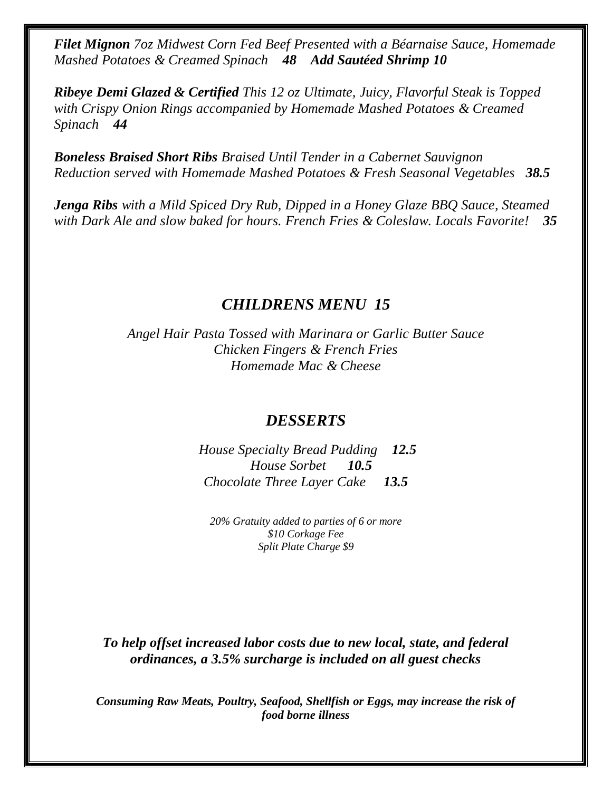*Filet Mignon 7oz Midwest Corn Fed Beef Presented with a Béarnaise Sauce, Homemade Mashed Potatoes & Creamed Spinach 48 Add Sautéed Shrimp 10*

*Ribeye Demi Glazed & Certified This 12 oz Ultimate, Juicy, Flavorful Steak is Topped with Crispy Onion Rings accompanied by Homemade Mashed Potatoes & Creamed Spinach 44*

*Boneless Braised Short Ribs Braised Until Tender in a Cabernet Sauvignon Reduction served with Homemade Mashed Potatoes & Fresh Seasonal Vegetables 38.5*

*Jenga Ribs with a Mild Spiced Dry Rub, Dipped in a Honey Glaze BBQ Sauce, Steamed with Dark Ale and slow baked for hours. French Fries & Coleslaw. Locals Favorite! 35*

# *CHILDRENS MENU 15*

*Angel Hair Pasta Tossed with Marinara or Garlic Butter Sauce Chicken Fingers & French Fries Homemade Mac & Cheese* 

# *DESSERTS*

*House Specialty Bread Pudding 12.5 House Sorbet 10.5 Chocolate Three Layer Cake 13.5*

*20% Gratuity added to parties of 6 or more \$10 Corkage Fee Split Plate Charge \$9*

*To help offset increased labor costs due to new local, state, and federal ordinances, a 3.5% surcharge is included on all guest checks*

*Consuming Raw Meats, Poultry, Seafood, Shellfish or Eggs, may increase the risk of food borne illness*